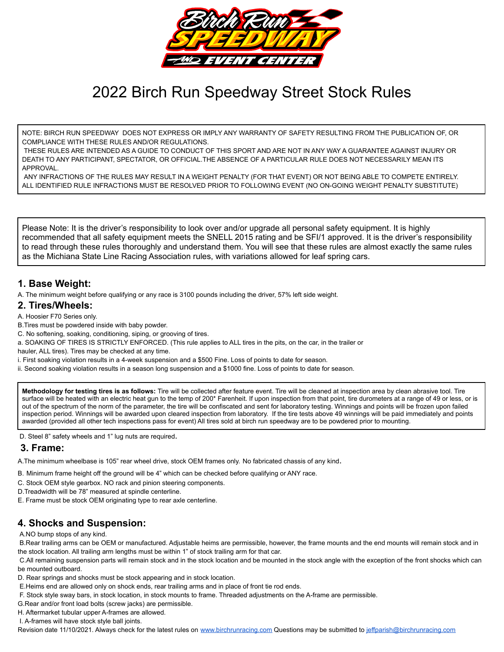

# 2022 Birch Run Speedway Street Stock Rules

NOTE: BIRCH RUN SPEEDWAY DOES NOT EXPRESS OR IMPLY ANY WARRANTY OF SAFETY RESULTING FROM THE PUBLICATION OF, OR COMPLIANCE WITH THESE RULES AND/OR REGULATIONS.

THESE RULES ARE INTENDED AS A GUIDE TO CONDUCT OF THIS SPORT AND ARE NOT IN ANY WAY A GUARANTEE AGAINST INJURY OR DEATH TO ANY PARTICIPANT, SPECTATOR, OR OFFICIAL.THE ABSENCE OF A PARTICULAR RULE DOES NOT NECESSARILY MEAN ITS APPROVAL.

ANY INFRACTIONS OF THE RULES MAY RESULT IN A WEIGHT PENALTY (FOR THAT EVENT) OR NOT BEING ABLE TO COMPETE ENTIRELY. ALL IDENTIFIED RULE INFRACTIONS MUST BE RESOLVED PRIOR TO FOLLOWING EVENT (NO ON-GOING WEIGHT PENALTY SUBSTITUTE)

Please Note: It is the driver's responsibility to look over and/or upgrade all personal safety equipment. It is highly recommended that all safety equipment meets the SNELL 2015 rating and be SFI/1 approved. It is the driver's responsibility to read through these rules thoroughly and understand them. You will see that these rules are almost exactly the same rules as the Michiana State Line Racing Association rules, with variations allowed for leaf spring cars.

# **1. Base Weight:**

A. The minimum weight before qualifying or any race is 3100 pounds including the driver, 57% left side weight.

#### **2. Tires/Wheels:**

A. Hoosier F70 Series only.

B.Tires must be powdered inside with baby powder.

C. No softening, soaking, conditioning, siping, or grooving of tires.

a. SOAKING OF TIRES IS STRICTLY ENFORCED. (This rule applies to ALL tires in the pits, on the car, in the trailer or

hauler, ALL tires). Tires may be checked at any time.

i. First soaking violation results in a 4-week suspension and a \$500 Fine. Loss of points to date for season.

ii. Second soaking violation results in a season long suspension and a \$1000 fine. Loss of points to date for season.

**Methodology for testing tires is as follows:** Tire will be collected after feature event. Tire will be cleaned at inspection area by clean abrasive tool. Tire surface will be heated with an electric heat gun to the temp of 200\* Farenheit. If upon inspection from that point, tire durometers at a range of 49 or less, or is out of the spectrum of the norm of the parameter, the tire will be confiscated and sent for laboratory testing. Winnings and points will be frozen upon failed inspection period. Winnings will be awarded upon cleared inspection from laboratory. If the tire tests above 49 winnings will be paid immediately and points awarded (provided all other tech inspections pass for event) All tires sold at birch run speedway are to be powdered prior to mounting.

D. Steel 8" safety wheels and 1" lug nuts are required.

# **3. Frame:**

A.The minimum wheelbase is 105" rear wheel drive, stock OEM frames only. No fabricated chassis of any kind.

B. Minimum frame height off the ground will be 4" which can be checked before qualifying or ANY race.

- C. Stock OEM style gearbox. NO rack and pinion steering components.
- D.Treadwidth will be 78" measured at spindle centerline.
- E. Frame must be stock OEM originating type to rear axle centerline.

# **4. Shocks and Suspension:**

#### A.NO bump stops of any kind.

B.Rear trailing arms can be OEM or manufactured. Adjustable heims are permissible, however, the frame mounts and the end mounts will remain stock and in the stock location. All trailing arm lengths must be within 1" of stock trailing arm for that car.

C.All remaining suspension parts will remain stock and in the stock location and be mounted in the stock angle with the exception of the front shocks which can be mounted outboard.

D. Rear springs and shocks must be stock appearing and in stock location.

E.Heims end are allowed only on shock ends, rear trailing arms and in place of front tie rod ends.

F. Stock style sway bars, in stock location, in stock mounts to frame. Threaded adjustments on the A-frame are permissible.

G.Rear and/or front load bolts (screw jacks) are permissible.

H. Aftermarket tubular upper A-frames are allowed.

I. A-frames will have stock style ball joints.

Revision date 11/10/2021. Always check for the latest rules on [www.birchrunracing.com](http://www.birchrunracing.com) Questions may be submitted to [jeffparish@birchrunracing.com](mailto:jeffparish@birchrunracing.com)